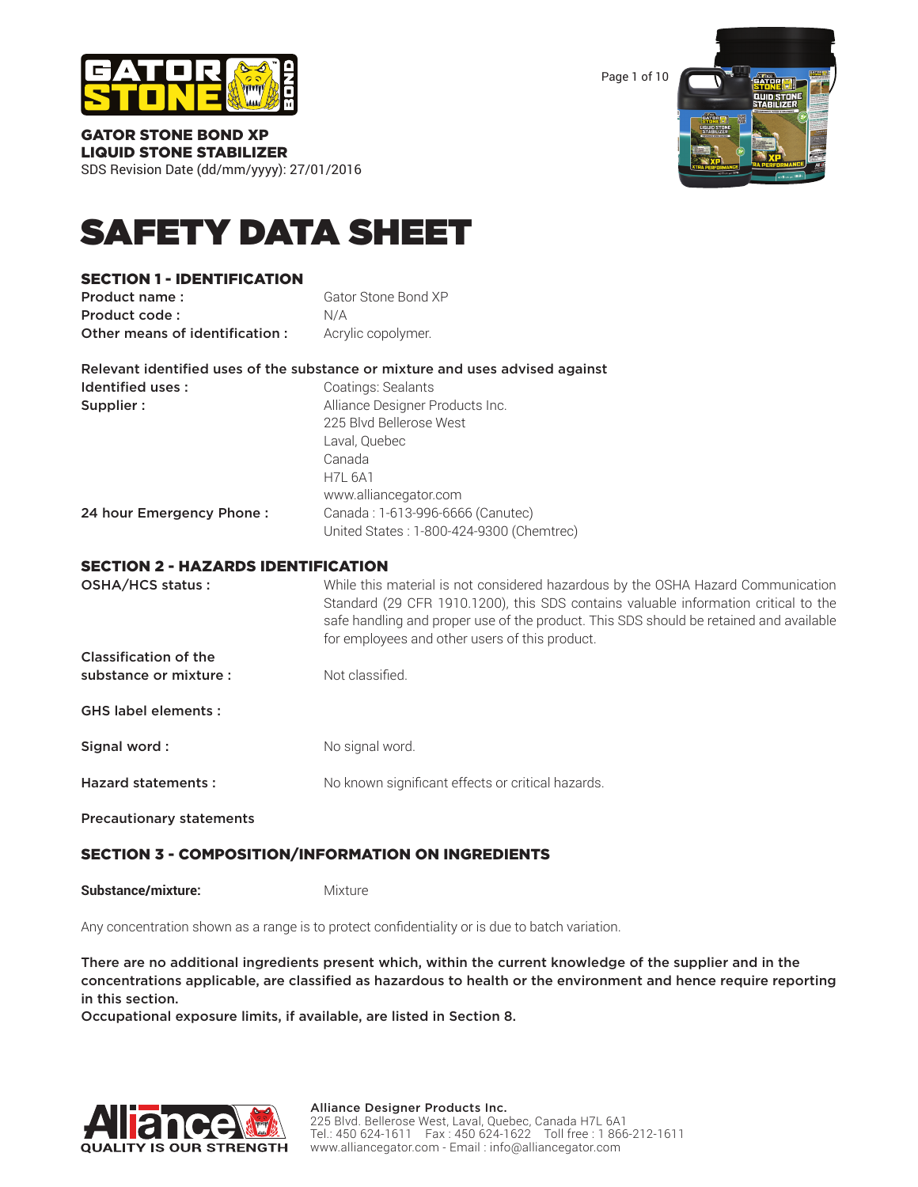

Page 1 of 10



GATOR STONE BOND XP LIQUID STONE STABILIZER

SDS Revision Date (dd/mm/yyyy): 27/01/2016

# SAFETY DATA SHEET

# SECTION 1 - IDENTIFICATION

| Product name:                  | Gator Stone Bond XP |
|--------------------------------|---------------------|
| Product code:                  | N/A                 |
| Other means of identification: | Acrylic copolymer.  |

|                          | Relevant identified uses of the substance or mixture and uses advised against |
|--------------------------|-------------------------------------------------------------------------------|
| Identified uses:         | Coatings: Sealants                                                            |
| Supplier:                | Alliance Designer Products Inc.                                               |
|                          | 225 Blvd Bellerose West                                                       |
|                          | Laval, Quebec                                                                 |
|                          | Canada                                                                        |
|                          | <b>H7L 6A1</b>                                                                |
|                          | www.alliancegator.com                                                         |
| 24 hour Emergency Phone: | Canada: 1-613-996-6666 (Canutec)                                              |
|                          | United States: 1-800-424-9300 (Chemtrec)                                      |

# SECTION 2 - HAZARDS IDENTIFICATION

| OSHA/HCS status:                | While this material is not considered hazardous by the OSHA Hazard Communication<br>Standard (29 CFR 1910.1200), this SDS contains valuable information critical to the<br>safe handling and proper use of the product. This SDS should be retained and available<br>for employees and other users of this product. |
|---------------------------------|---------------------------------------------------------------------------------------------------------------------------------------------------------------------------------------------------------------------------------------------------------------------------------------------------------------------|
| Classification of the           |                                                                                                                                                                                                                                                                                                                     |
| substance or mixture :          | Not classified.                                                                                                                                                                                                                                                                                                     |
| <b>GHS label elements:</b>      |                                                                                                                                                                                                                                                                                                                     |
| Signal word:                    | No signal word.                                                                                                                                                                                                                                                                                                     |
| <b>Hazard statements:</b>       | No known significant effects or critical hazards.                                                                                                                                                                                                                                                                   |
| <b>Precautionary statements</b> |                                                                                                                                                                                                                                                                                                                     |

# SECTION 3 - COMPOSITION/INFORMATION ON INGREDIENTS

**Substance/mixture:** Mixture

Any concentration shown as a range is to protect confidentiality or is due to batch variation.

There are no additional ingredients present which, within the current knowledge of the supplier and in the concentrations applicable, are classified as hazardous to health or the environment and hence require reporting in this section.

Occupational exposure limits, if available, are listed in Section 8.

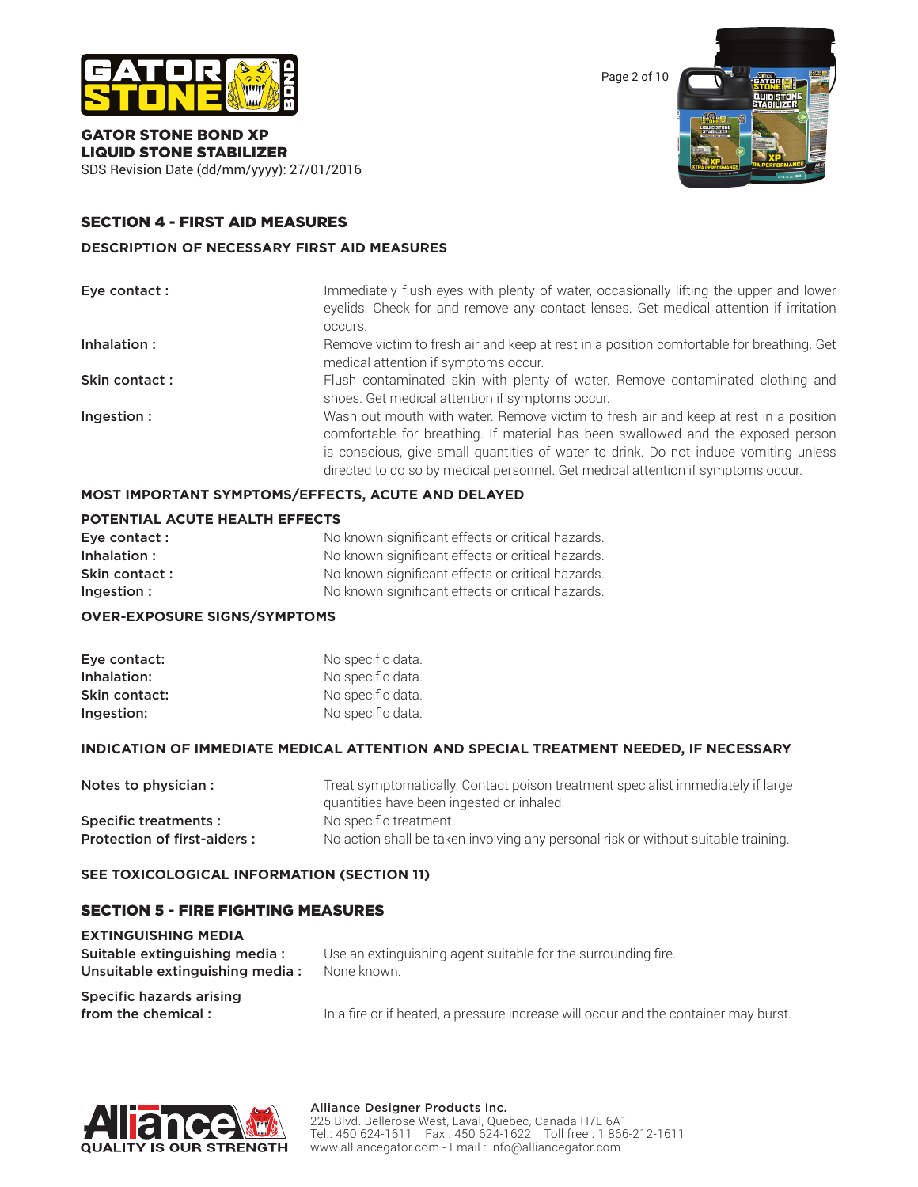

GATOR STONE BOND XP LIQUID STONE STABILIZER

SDS Revision Date (dd/mm/yyyy): 27/01/2016

# SECTION 4 - FIRST AID MEASURES

#### **DESCRIPTION OF NECESSARY FIRST AID MEASURES**

| Eye contact : | Immediately flush eyes with plenty of water, occasionally lifting the upper and lower<br>eyelids. Check for and remove any contact lenses. Get medical attention if irritation<br>occurs.                                                                                                                                                            |
|---------------|------------------------------------------------------------------------------------------------------------------------------------------------------------------------------------------------------------------------------------------------------------------------------------------------------------------------------------------------------|
| Inhalation:   | Remove victim to fresh air and keep at rest in a position comfortable for breathing. Get<br>medical attention if symptoms occur.                                                                                                                                                                                                                     |
| Skin contact: | Flush contaminated skin with plenty of water. Remove contaminated clothing and<br>shoes. Get medical attention if symptoms occur.                                                                                                                                                                                                                    |
| Ingestion:    | Wash out mouth with water. Remove victim to fresh air and keep at rest in a position<br>comfortable for breathing. If material has been swallowed and the exposed person<br>is conscious, give small quantities of water to drink. Do not induce vomiting unless<br>directed to do so by medical personnel. Get medical attention if symptoms occur. |

# **MOST IMPORTANT SYMPTOMS/EFFECTS, ACUTE AND DELAYED**

## **POTENTIAL ACUTE HEALTH EFFECTS**

| Eye contact : | No known significant effects or critical hazards. |
|---------------|---------------------------------------------------|
| Inhalation:   | No known significant effects or critical hazards. |
| Skin contact: | No known significant effects or critical hazards. |
| Ingestion:    | No known significant effects or critical hazards. |

#### **OVER-EXPOSURE SIGNS/SYMPTOMS**

| Eye contact:  | No specific data. |
|---------------|-------------------|
| Inhalation:   | No specific data. |
| Skin contact: | No specific data. |
| Ingestion:    | No specific data. |

#### **INDICATION OF IMMEDIATE MEDICAL ATTENTION AND SPECIAL TREATMENT NEEDED, IF NECESSARY**

| Notes to physician :        | Treat symptomatically. Contact poison treatment specialist immediately if large    |
|-----------------------------|------------------------------------------------------------------------------------|
|                             | quantities have been ingested or inhaled.                                          |
| Specific treatments :       | No specific treatment.                                                             |
| Protection of first-aiders: | No action shall be taken involving any personal risk or without suitable training. |

# **SEE TOXICOLOGICAL INFORMATION (SECTION 11)**

#### SECTION 5 - FIRE FIGHTING MEASURES

| <b>EXTINGUISHING MEDIA</b>      |                                                                                     |
|---------------------------------|-------------------------------------------------------------------------------------|
| Suitable extinguishing media:   | Use an extinguishing agent suitable for the surrounding fire.                       |
| Unsuitable extinguishing media: | None known.                                                                         |
| Specific hazards arising        |                                                                                     |
| from the chemical:              | In a fire or if heated, a pressure increase will occur and the container may burst. |



Page 2 of 10

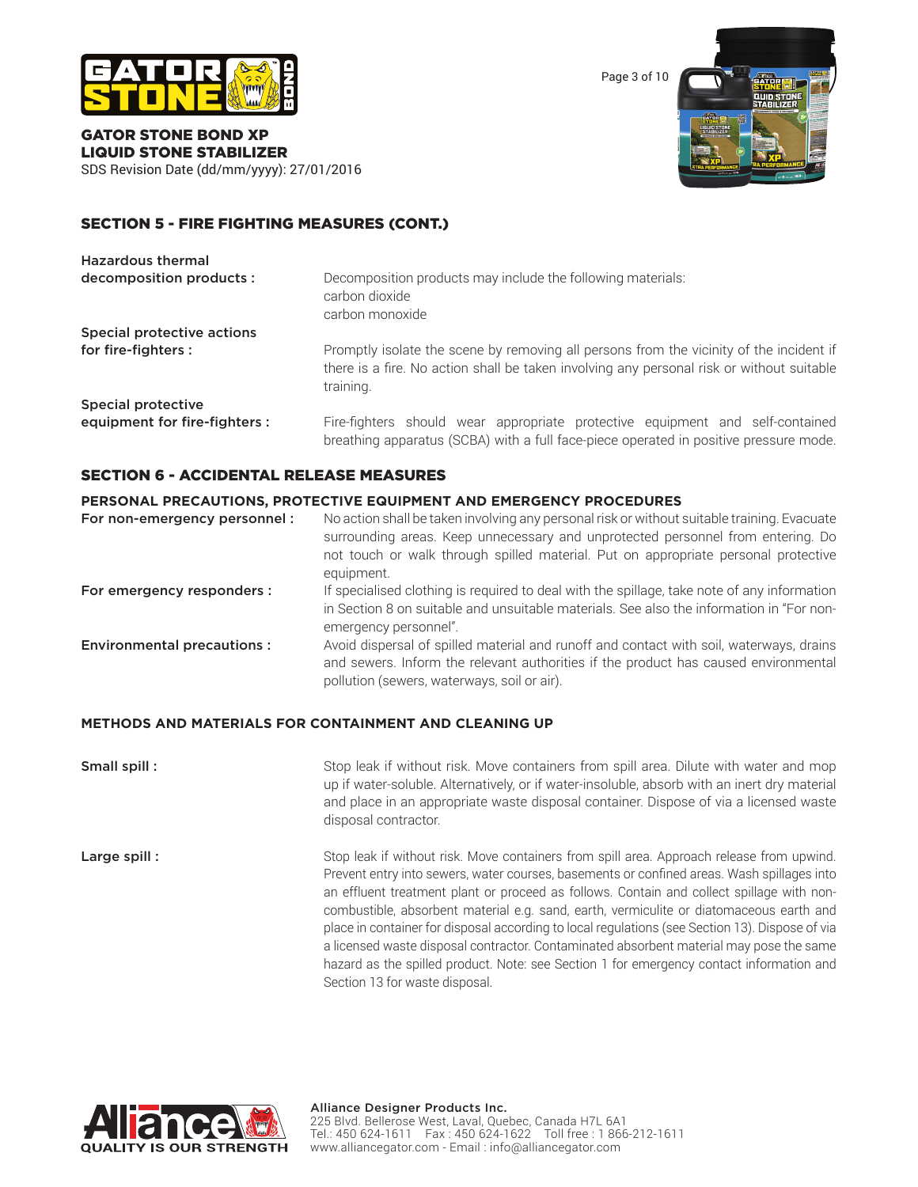

Page 3 of 10



#### GATOR STONE BOND XP LIQUID STONE STABILIZER SDS Revision Date (dd/mm/yyyy): 27/01/2016

# SECTION 5 - FIRE FIGHTING MEASURES (CONT.)

| <b>Hazardous thermal</b>      |                                                                                                                                                                                                   |
|-------------------------------|---------------------------------------------------------------------------------------------------------------------------------------------------------------------------------------------------|
| decomposition products :      | Decomposition products may include the following materials:<br>carbon dioxide<br>carbon monoxide                                                                                                  |
| Special protective actions    |                                                                                                                                                                                                   |
| for fire-fighters :           | Promptly isolate the scene by removing all persons from the vicinity of the incident if<br>there is a fire. No action shall be taken involving any personal risk or without suitable<br>training. |
| Special protective            |                                                                                                                                                                                                   |
| equipment for fire-fighters : | Fire-fighters should wear appropriate protective equipment and self-contained<br>breathing apparatus (SCBA) with a full face-piece operated in positive pressure mode.                            |

#### SECTION 6 - ACCIDENTAL RELEASE MEASURES

#### **PERSONAL PRECAUTIONS, PROTECTIVE EQUIPMENT AND EMERGENCY PROCEDURES**

| For non-emergency personnel:      | No action shall be taken involving any personal risk or without suitable training. Evacuate<br>surrounding areas. Keep unnecessary and unprotected personnel from entering. Do<br>not touch or walk through spilled material. Put on appropriate personal protective<br>equipment. |
|-----------------------------------|------------------------------------------------------------------------------------------------------------------------------------------------------------------------------------------------------------------------------------------------------------------------------------|
| For emergency responders :        | If specialised clothing is required to deal with the spillage, take note of any information<br>in Section 8 on suitable and unsuitable materials. See also the information in "For non-<br>emergency personnel".                                                                   |
| <b>Environmental precautions:</b> | Avoid dispersal of spilled material and runoff and contact with soil, waterways, drains<br>and sewers. Inform the relevant authorities if the product has caused environmental<br>pollution (sewers, waterways, soil or air).                                                      |

#### **METHODS AND MATERIALS FOR CONTAINMENT AND CLEANING UP**

**Small spill :** Stop leak if without risk. Move containers from spill area. Dilute with water and mop up if water-soluble. Alternatively, or if water-insoluble, absorb with an inert dry material and place in an appropriate waste disposal container. Dispose of via a licensed waste disposal contractor.

Large spill : Stop leak if without risk. Move containers from spill area. Approach release from upwind. Prevent entry into sewers, water courses, basements or confined areas. Wash spillages into an effluent treatment plant or proceed as follows. Contain and collect spillage with noncombustible, absorbent material e.g. sand, earth, vermiculite or diatomaceous earth and place in container for disposal according to local regulations (see Section 13). Dispose of via a licensed waste disposal contractor. Contaminated absorbent material may pose the same hazard as the spilled product. Note: see Section 1 for emergency contact information and Section 13 for waste disposal.

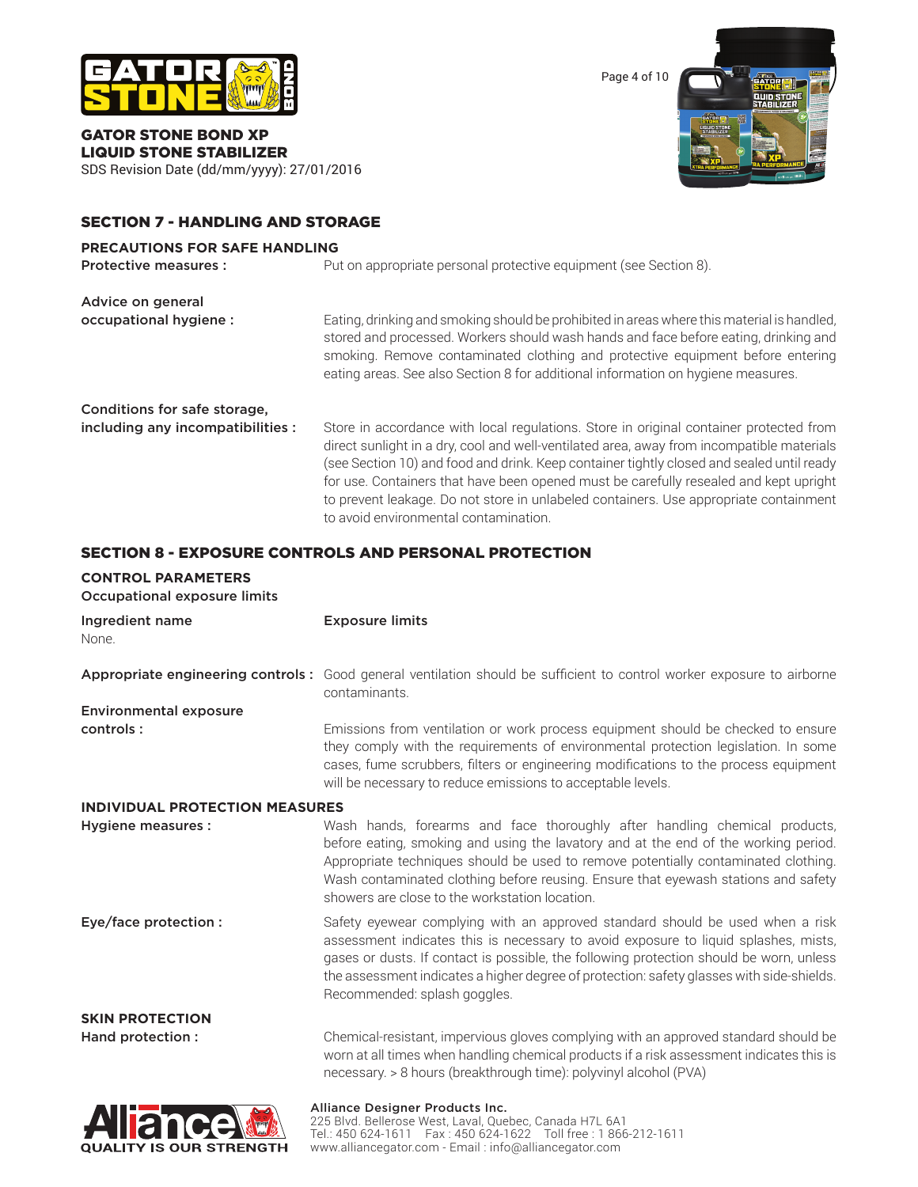

GATOR STONE BOND XP LIQUID STONE STABILIZER SDS Revision Date (dd/mm/yyyy): 27/01/2016



# SECTION 7 - HANDLING AND STORAGE

# **PRECAUTIONS FOR SAFE HANDLING**

| <b>Protective measures:</b>                                       | Put on appropriate personal protective equipment (see Section 8).                                                                                                                                                                                                                                                                                                                                                                                                                                           |
|-------------------------------------------------------------------|-------------------------------------------------------------------------------------------------------------------------------------------------------------------------------------------------------------------------------------------------------------------------------------------------------------------------------------------------------------------------------------------------------------------------------------------------------------------------------------------------------------|
| Advice on general<br>occupational hygiene :                       | Eating, drinking and smoking should be prohibited in areas where this material is handled,<br>stored and processed. Workers should wash hands and face before eating, drinking and<br>smoking. Remove contaminated clothing and protective equipment before entering<br>eating areas. See also Section 8 for additional information on hygiene measures.                                                                                                                                                    |
| Conditions for safe storage,<br>including any incompatibilities : | Store in accordance with local regulations. Store in original container protected from<br>direct sunlight in a dry, cool and well-ventilated area, away from incompatible materials<br>(see Section 10) and food and drink. Keep container tightly closed and sealed until ready<br>for use. Containers that have been opened must be carefully resealed and kept upright<br>to prevent leakage. Do not store in unlabeled containers. Use appropriate containment<br>to avoid environmental contamination. |

# SECTION 8 - EXPOSURE CONTROLS AND PERSONAL PROTECTION

| <b>CONTROL PARAMETERS</b><br>Occupational exposure limits |                                                                                                                                                                                                                                                                                                                                                                                                 |
|-----------------------------------------------------------|-------------------------------------------------------------------------------------------------------------------------------------------------------------------------------------------------------------------------------------------------------------------------------------------------------------------------------------------------------------------------------------------------|
| Ingredient name<br>None.                                  | <b>Exposure limits</b>                                                                                                                                                                                                                                                                                                                                                                          |
|                                                           | Appropriate engineering controls: Good general ventilation should be sufficient to control worker exposure to airborne<br>contaminants.                                                                                                                                                                                                                                                         |
| <b>Environmental exposure</b>                             |                                                                                                                                                                                                                                                                                                                                                                                                 |
| controls:                                                 | Emissions from ventilation or work process equipment should be checked to ensure<br>they comply with the requirements of environmental protection legislation. In some<br>cases, fume scrubbers, filters or engineering modifications to the process equipment<br>will be necessary to reduce emissions to acceptable levels.                                                                   |
| <b>INDIVIDUAL PROTECTION MEASURES</b>                     |                                                                                                                                                                                                                                                                                                                                                                                                 |
| Hygiene measures :                                        | Wash hands, forearms and face thoroughly after handling chemical products,<br>before eating, smoking and using the lavatory and at the end of the working period.<br>Appropriate techniques should be used to remove potentially contaminated clothing.<br>Wash contaminated clothing before reusing. Ensure that eyewash stations and safety<br>showers are close to the workstation location. |
| Eye/face protection :                                     | Safety eyewear complying with an approved standard should be used when a risk<br>assessment indicates this is necessary to avoid exposure to liquid splashes, mists,<br>gases or dusts. If contact is possible, the following protection should be worn, unless<br>the assessment indicates a higher degree of protection: safety glasses with side-shields.<br>Recommended: splash goggles.    |
| <b>SKIN PROTECTION</b>                                    |                                                                                                                                                                                                                                                                                                                                                                                                 |
| Hand protection :                                         | Chemical-resistant, impervious gloves complying with an approved standard should be<br>worn at all times when handling chemical products if a risk assessment indicates this is<br>necessary. > 8 hours (breakthrough time): polyvinyl alcohol (PVA)                                                                                                                                            |
| $\sim$                                                    | <b>Alliance Designer Products Inc.</b>                                                                                                                                                                                                                                                                                                                                                          |

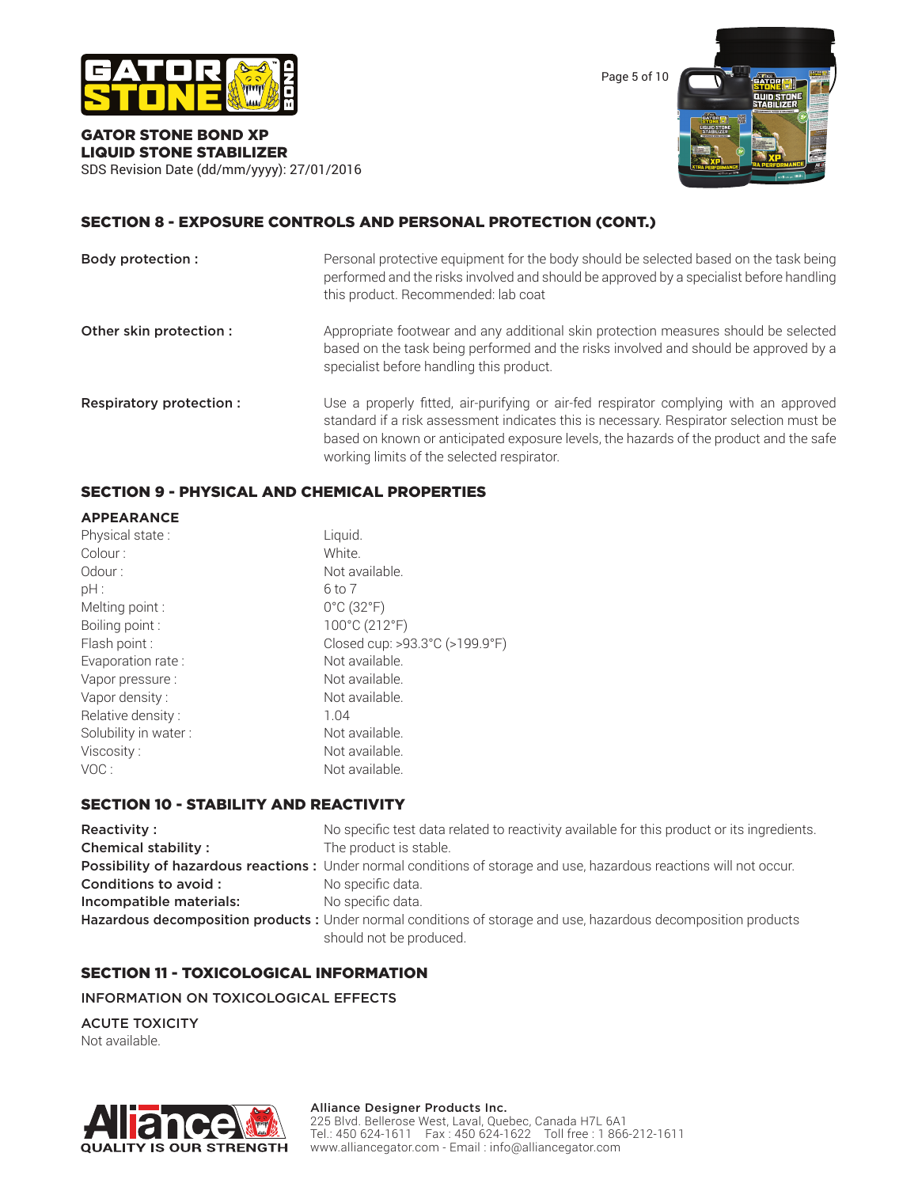

Page 5 of 10



#### GATOR STONE BOND XP LIQUID STONE STABILIZER SDS Revision Date (dd/mm/yyyy): 27/01/2016

# SECTION 8 - EXPOSURE CONTROLS AND PERSONAL PROTECTION (CONT.)

| Body protection :       | Personal protective equipment for the body should be selected based on the task being<br>performed and the risks involved and should be approved by a specialist before handling<br>this product. Recommended: lab coat                                                                                                  |
|-------------------------|--------------------------------------------------------------------------------------------------------------------------------------------------------------------------------------------------------------------------------------------------------------------------------------------------------------------------|
| Other skin protection : | Appropriate footwear and any additional skin protection measures should be selected<br>based on the task being performed and the risks involved and should be approved by a<br>specialist before handling this product.                                                                                                  |
| Respiratory protection: | Use a properly fitted, air-purifying or air-fed respirator complying with an approved<br>standard if a risk assessment indicates this is necessary. Respirator selection must be<br>based on known or anticipated exposure levels, the hazards of the product and the safe<br>working limits of the selected respirator. |

# SECTION 9 - PHYSICAL AND CHEMICAL PROPERTIES

| <b>APPEARANCE</b>    |                                 |
|----------------------|---------------------------------|
| Physical state:      | Liquid.                         |
| Colour:              | White.                          |
| Odour:               | Not available.                  |
| pH:                  | 6 to 7                          |
| Melting point :      | $0^{\circ}$ C (32 $^{\circ}$ F) |
| Boiling point:       | 100°C (212°F)                   |
| Flash point :        | Closed cup: >93.3°C (>199.9°F)  |
| Evaporation rate:    | Not available.                  |
| Vapor pressure :     | Not available.                  |
| Vapor density:       | Not available.                  |
| Relative density:    | 1.04                            |
| Solubility in water: | Not available.                  |
| Viscosity:           | Not available.                  |
| VOC:                 | Not available.                  |

# SECTION 10 - STABILITY AND REACTIVITY

| Reactivity:                | No specific test data related to reactivity available for this product or its ingredients.                          |
|----------------------------|---------------------------------------------------------------------------------------------------------------------|
| <b>Chemical stability:</b> | The product is stable.                                                                                              |
|                            | Possibility of hazardous reactions: Under normal conditions of storage and use, hazardous reactions will not occur. |
| Conditions to avoid :      | No specific data.                                                                                                   |
| Incompatible materials:    | No specific data.                                                                                                   |
|                            | Hazardous decomposition products : Under normal conditions of storage and use, hazardous decomposition products     |
|                            | should not be produced.                                                                                             |

# SECTION 11 - TOXICOLOGICAL INFORMATION

INFORMATION ON TOXICOLOGICAL EFFECTS

ACUTE TOXICITY Not available.



#### Alliance Designer Products Inc.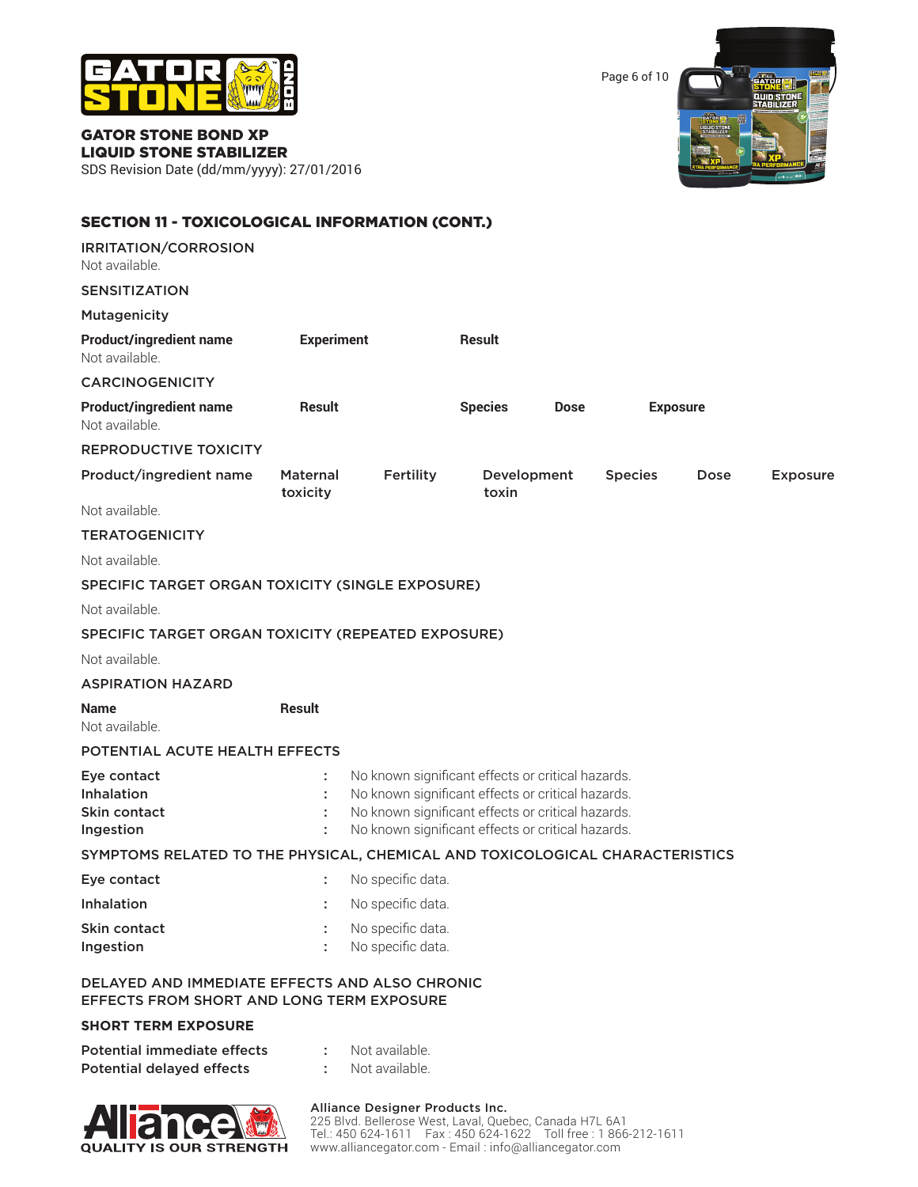

Page 6 of 10



#### GATOR STONE BOND XP LIQUID STONE STABILIZER SDS Revision Date (dd/mm/yyyy): 27/01/2016

| <b>SECTION 11 - TOXICOLOGICAL INFORMATION (CONT.)</b>                                                     |                             |                                                                                                                                                                                                                  |                      |             |                |                 |                 |
|-----------------------------------------------------------------------------------------------------------|-----------------------------|------------------------------------------------------------------------------------------------------------------------------------------------------------------------------------------------------------------|----------------------|-------------|----------------|-----------------|-----------------|
| IRRITATION/CORROSION<br>Not available.                                                                    |                             |                                                                                                                                                                                                                  |                      |             |                |                 |                 |
| <b>SENSITIZATION</b>                                                                                      |                             |                                                                                                                                                                                                                  |                      |             |                |                 |                 |
| <b>Mutagenicity</b>                                                                                       |                             |                                                                                                                                                                                                                  |                      |             |                |                 |                 |
| <b>Product/ingredient name</b><br>Not available.                                                          | <b>Experiment</b>           |                                                                                                                                                                                                                  | Result               |             |                |                 |                 |
| <b>CARCINOGENICITY</b>                                                                                    |                             |                                                                                                                                                                                                                  |                      |             |                |                 |                 |
| <b>Product/ingredient name</b><br>Not available.                                                          | <b>Result</b>               |                                                                                                                                                                                                                  | <b>Species</b>       | <b>Dose</b> |                | <b>Exposure</b> |                 |
| <b>REPRODUCTIVE TOXICITY</b>                                                                              |                             |                                                                                                                                                                                                                  |                      |             |                |                 |                 |
| Product/ingredient name                                                                                   | <b>Maternal</b><br>toxicity | Fertility                                                                                                                                                                                                        | Development<br>toxin |             | <b>Species</b> | <b>Dose</b>     | <b>Exposure</b> |
| Not available.                                                                                            |                             |                                                                                                                                                                                                                  |                      |             |                |                 |                 |
| <b>TERATOGENICITY</b>                                                                                     |                             |                                                                                                                                                                                                                  |                      |             |                |                 |                 |
| Not available.                                                                                            |                             |                                                                                                                                                                                                                  |                      |             |                |                 |                 |
| SPECIFIC TARGET ORGAN TOXICITY (SINGLE EXPOSURE)                                                          |                             |                                                                                                                                                                                                                  |                      |             |                |                 |                 |
| Not available.                                                                                            |                             |                                                                                                                                                                                                                  |                      |             |                |                 |                 |
| SPECIFIC TARGET ORGAN TOXICITY (REPEATED EXPOSURE)                                                        |                             |                                                                                                                                                                                                                  |                      |             |                |                 |                 |
| Not available.                                                                                            |                             |                                                                                                                                                                                                                  |                      |             |                |                 |                 |
| <b>ASPIRATION HAZARD</b>                                                                                  |                             |                                                                                                                                                                                                                  |                      |             |                |                 |                 |
| <b>Name</b><br>Not available.                                                                             | <b>Result</b>               |                                                                                                                                                                                                                  |                      |             |                |                 |                 |
| POTENTIAL ACUTE HEALTH EFFECTS                                                                            |                             |                                                                                                                                                                                                                  |                      |             |                |                 |                 |
| Eye contact<br>Inhalation<br>Skin contact<br>Ingestion                                                    | ÷<br>t                      | No known significant effects or critical hazards.<br>No known significant effects or critical hazards.<br>No known significant effects or critical hazards.<br>No known significant effects or critical hazards. |                      |             |                |                 |                 |
| SYMPTOMS RELATED TO THE PHYSICAL, CHEMICAL AND TOXICOLOGICAL CHARACTERISTICS                              |                             |                                                                                                                                                                                                                  |                      |             |                |                 |                 |
| Eye contact                                                                                               |                             | No specific data.                                                                                                                                                                                                |                      |             |                |                 |                 |
| Inhalation                                                                                                |                             | No specific data.                                                                                                                                                                                                |                      |             |                |                 |                 |
| Skin contact<br>Ingestion                                                                                 |                             | No specific data.<br>No specific data.                                                                                                                                                                           |                      |             |                |                 |                 |
| <b>DELAYED AND IMMEDIATE EFFECTS AND ALSO CHRONIC</b><br><b>EFFECTS FROM SHORT AND LONG TERM EXPOSURE</b> |                             |                                                                                                                                                                                                                  |                      |             |                |                 |                 |
| <b>SHORT TERM EXPOSURE</b>                                                                                |                             |                                                                                                                                                                                                                  |                      |             |                |                 |                 |

| Potential immediate effects      | Not available. |
|----------------------------------|----------------|
| <b>Potential delayed effects</b> | Not available. |



#### Alliance Designer Products Inc.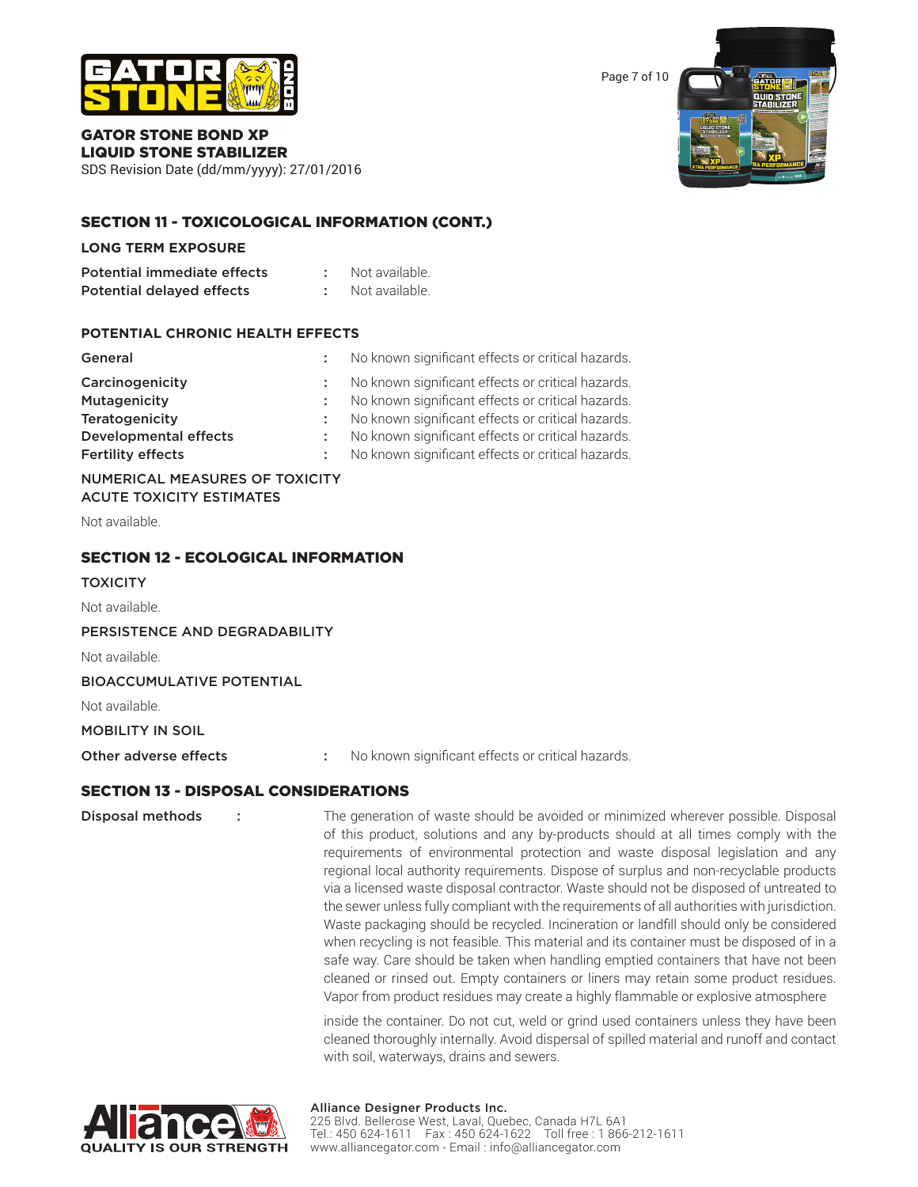

Page 7 of 10



#### GATOR STONE BOND XP LIQUID STONE STABILIZER

SDS Revision Date (dd/mm/yyyy): 27/01/2016

# SECTION 11 - TOXICOLOGICAL INFORMATION (CONT.)

#### **LONG TERM EXPOSURE**

| Potential immediate effects | Not available. |
|-----------------------------|----------------|
| Potential delayed effects   | Not available. |

#### **POTENTIAL CHRONIC HEALTH EFFECTS**

| General                      | No known significant effects or critical hazards.   |
|------------------------------|-----------------------------------------------------|
| Carcinogenicity              | : No known significant effects or critical hazards. |
| Mutagenicity                 | No known significant effects or critical hazards.   |
| <b>Teratogenicity</b>        | : No known significant effects or critical hazards. |
| <b>Developmental effects</b> | No known significant effects or critical hazards.   |
| <b>Fertility effects</b>     | No known significant effects or critical hazards.   |

# NUMERICAL MEASURES OF TOXICITY ACUTE TOXICITY ESTIMATES

Not available.

# SECTION 12 - ECOLOGICAL INFORMATION

#### **TOXICITY**

Not available.

PERSISTENCE AND DEGRADABILITY

Not available.

BIOACCUMULATIVE POTENTIAL

Not available.

#### MOBILITY IN SOIL

Other adverse effects : No known significant effects or critical hazards.

# SECTION 13 - DISPOSAL CONSIDERATIONS

Disposal methods : The generation of waste should be avoided or minimized wherever possible. Disposal of this product, solutions and any by-products should at all times comply with the requirements of environmental protection and waste disposal legislation and any regional local authority requirements. Dispose of surplus and non-recyclable products via a licensed waste disposal contractor. Waste should not be disposed of untreated to the sewer unless fully compliant with the requirements of all authorities with jurisdiction. Waste packaging should be recycled. Incineration or landfill should only be considered when recycling is not feasible. This material and its container must be disposed of in a safe way. Care should be taken when handling emptied containers that have not been cleaned or rinsed out. Empty containers or liners may retain some product residues. Vapor from product residues may create a highly flammable or explosive atmosphere

> inside the container. Do not cut, weld or grind used containers unless they have been cleaned thoroughly internally. Avoid dispersal of spilled material and runoff and contact with soil, waterways, drains and sewers.

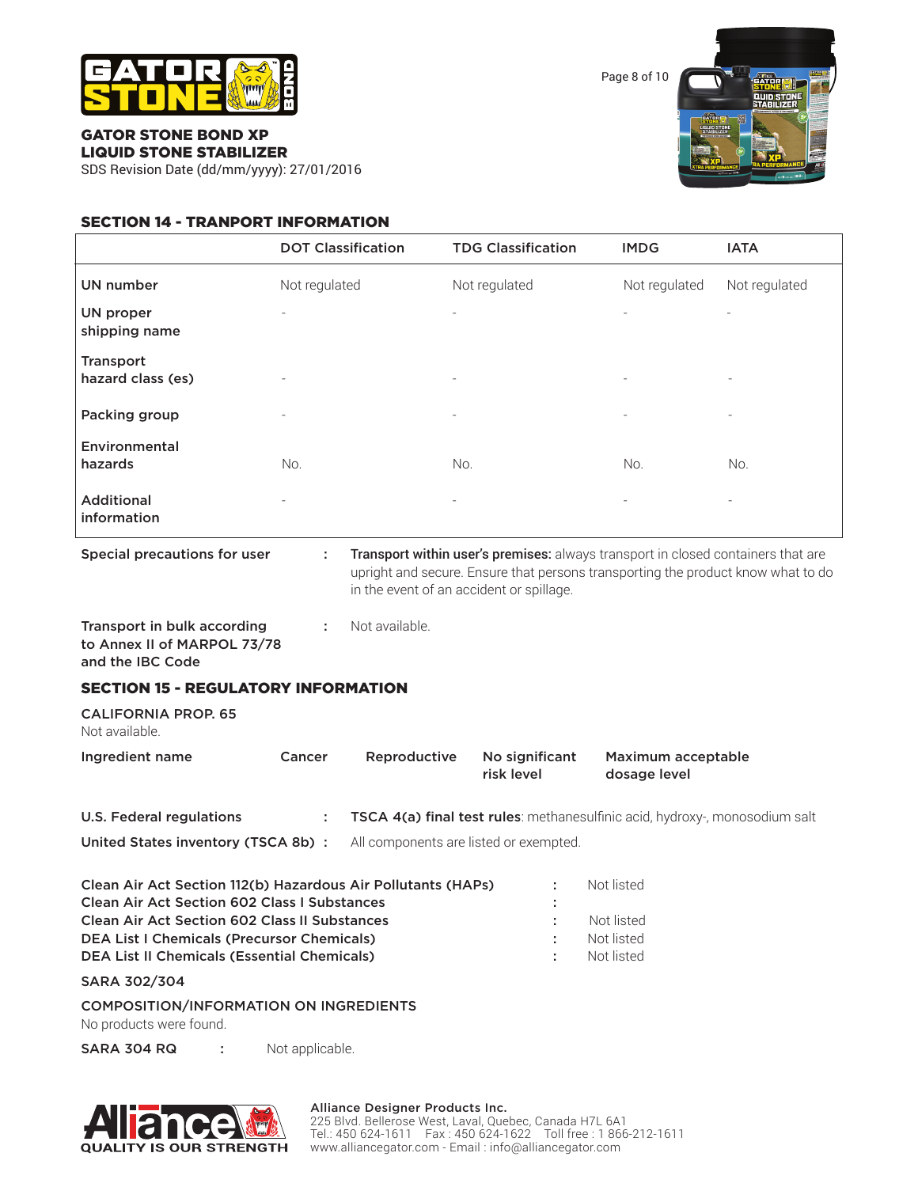

Page 8 of 10

#### GATOR STONE BOND XP LIQUID STONE STABILIZER

SDS Revision Date (dd/mm/yyyy): 27/01/2016

# SECTION 14 - TRANPORT INFORMATION

|                                | <b>DOT Classification</b> | <b>TDG Classification</b> | <b>IMDG</b>              | <b>IATA</b>                  |
|--------------------------------|---------------------------|---------------------------|--------------------------|------------------------------|
| <b>UN number</b>               | Not regulated             | Not regulated             | Not regulated            | Not regulated                |
| UN proper<br>shipping name     | $\overline{\phantom{a}}$  | $\overline{\phantom{a}}$  | $\overline{\phantom{a}}$ | $\overline{\phantom{a}}$     |
| Transport<br>hazard class (es) | $\overline{\phantom{a}}$  | $\overline{\phantom{a}}$  | $\overline{\phantom{a}}$ | $\qquad \qquad \blacksquare$ |
| Packing group                  | $\overline{\phantom{a}}$  | $\overline{\phantom{0}}$  | $\overline{\phantom{a}}$ |                              |
| Environmental<br>hazards       | No.                       | No.                       | No.                      | No.                          |
| Additional<br>information      | $\overline{\phantom{0}}$  |                           |                          |                              |

Special precautions for user : Transport within user's premises: always transport in closed containers that are upright and secure. Ensure that persons transporting the product know what to do in the event of an accident or spillage.

Transport in bulk according : Not available. to Annex II of MARPOL 73/78 and the IBC Code

# SECTION 15 - REGULATORY INFORMATION

CALIFORNIA PROP. 65 Not available.

| No significant<br>Ingredient name<br>Reproductive<br>Cancer<br>risk level | Maximum acceptable<br>dosage level |
|---------------------------------------------------------------------------|------------------------------------|
|---------------------------------------------------------------------------|------------------------------------|

| U.S. Federal regulations          | TSCA 4(a) final test rules: methanesulfinic acid, hydroxy-, monosodium salt |
|-----------------------------------|-----------------------------------------------------------------------------|
| United States inventory (TSCA 8b) | All components are listed or exempted.                                      |

| п. | Not listed<br>Not listed<br>Not listed |
|----|----------------------------------------|
|    | Not listed                             |
|    |                                        |

SARA 302/304

COMPOSITION/INFORMATION ON INGREDIENTS

No products were found.

SARA 304 RQ : Not applicable.



# Alliance Designer Products Inc.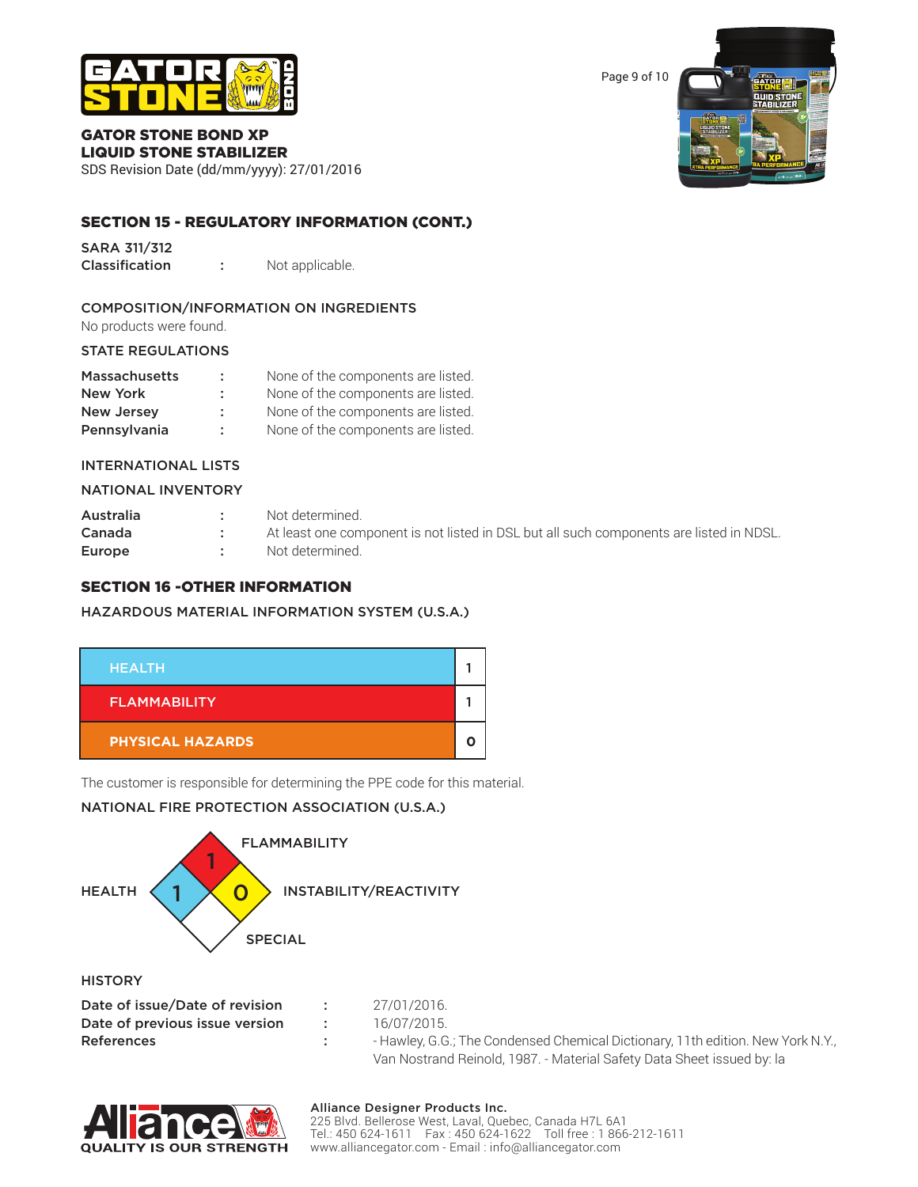

Page 9 of 10

#### GATOR STONE BOND XP LIQUID STONE STABILIZER

SDS Revision Date (dd/mm/yyyy): 27/01/2016

# SECTION 15 - REGULATORY INFORMATION (CONT.)

SARA 311/312

Classification : Not applicable.

# COMPOSITION/INFORMATION ON INGREDIENTS

No products were found.

# STATE REGULATIONS

| <b>Massachusetts</b> |    | None of the components are listed. |
|----------------------|----|------------------------------------|
| New York             | ÷  | None of the components are listed. |
| <b>New Jersey</b>    | ÷. | None of the components are listed. |
| Pennsylvania         | ÷  | None of the components are listed. |

# NATIONAL INVENTORY

| Australia | Not determined.                                                                         |
|-----------|-----------------------------------------------------------------------------------------|
| Canada    | At least one component is not listed in DSL but all such components are listed in NDSL. |
| Europe    | Not determined.                                                                         |

# SECTION 16 -OTHER INFORMATION

# HAZARDOUS MATERIAL INFORMATION SYSTEM (U.S.A.)



The customer is responsible for determining the PPE code for this material.

# NATIONAL FIRE PROTECTION ASSOCIATION (U.S.A.)



References : - - Hawley, G.G.; The Condensed Chemical Dictionary, 11th edition. New York N.Y., Van Nostrand Reinold, 1987. - Material Safety Data Sheet issued by: la



#### Alliance Designer Products Inc.